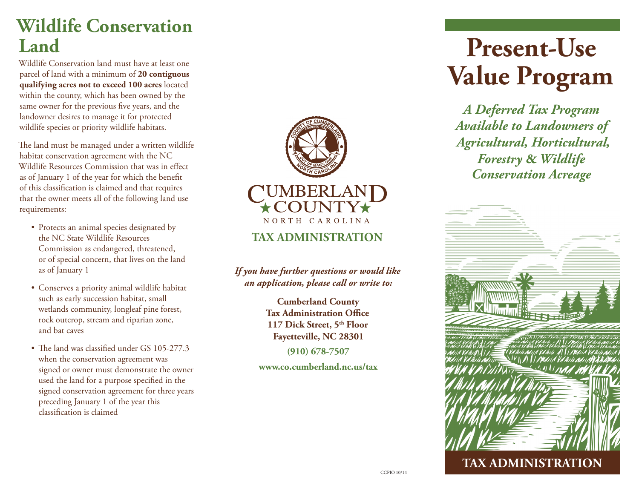### **Wildlife Conservation Land**

Wildlife Conservation land must have at least one parcel of land with a minimum of **20 contiguous qualifying acres not to exceed 100 acres** located within the county, which has been owned by the same owner for the previous five years, and the landowner desires to manage it for protected wildlife species or priority wildlife habitats.

The land must be managed under a written wildlife habitat conservation agreement with the NC Wildlife Resources Commission that was in effect as of January 1 of the year for which the benefit of this classification is claimed and that requires that the owner meets all of the following land use requirements:

- Protects an animal species designated by the NC State Wildlife Resources Commission as endangered, threatened, or of special concern, that lives on the land as of January 1
- Conserves a priority animal wildlife habitat such as early succession habitat, small wetlands community, longleaf pine forest, rock outcrop, stream and riparian zone, and bat caves
- The land was classified under GS 105-277.3 when the conservation agreement was signed or owner must demonstrate the owner used the land for a purpose specified in the signed conservation agreement for three years preceding January 1 of the year this classification is claimed



**TAX ADMINISTRATION**

*If you have further questions or would like an application, please call or write to:*

> **Cumberland County Tax Administration Office 117 Dick Street, 5th Floor Fayetteville, NC 28301**

> > **(910) 678-7507**

**www.co.cumberland.nc.us/tax**

# **Present-Use Value Program**

*A Deferred Tax Program Available to Landowners of Agricultural, Horticultural, Forestry* **&** *Wildlife Conservation Acreage*